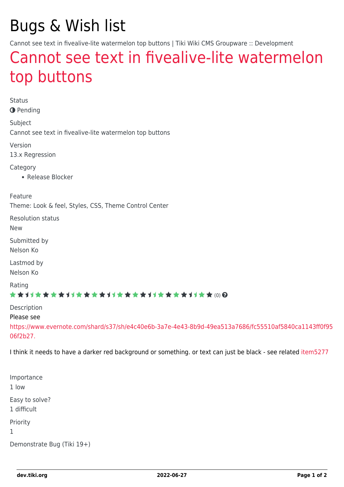# Bugs & Wish list

Cannot see text in fivealive-lite watermelon top buttons | Tiki Wiki CMS Groupware :: Development

## [Cannot see text in fivealive-lite watermelon](https://dev.tiki.org/item5276-Cannot-see-text-in-fivealive-lite-watermelon-top-buttons) [top buttons](https://dev.tiki.org/item5276-Cannot-see-text-in-fivealive-lite-watermelon-top-buttons)

Status **O** Pending Subject Cannot see text in fivealive-lite watermelon top buttons Version 13.x Regression Category • Release Blocker Feature Theme: Look & feel, Styles, CSS, Theme Control Center Resolution status New Submitted by Nelson Ko Lastmod by Nelson Ko Rating \*\*\*\*\*\*\*\*\*\*\*\*\*\*\*\*\*\*\*\*\*\*\*\*\*\*\*\*\*\* Description Please see [https://www.evernote.com/shard/s37/sh/e4c40e6b-3a7e-4e43-8b9d-49ea513a7686/fc55510af5840ca1143ff0f95](https://www.evernote.com/shard/s37/sh/e4c40e6b-3a7e-4e43-8b9d-49ea513a7686/fc55510af5840ca1143ff0f9506f2b27.) [06f2b27.](https://www.evernote.com/shard/s37/sh/e4c40e6b-3a7e-4e43-8b9d-49ea513a7686/fc55510af5840ca1143ff0f9506f2b27.) I think it needs to have a darker red background or something. or text can just be black - see related [item5277](https://dev.tiki.org/item5277)

Importance 1 low Easy to solve? 1 difficult Priority 1 Demonstrate Bug (Tiki 19+)